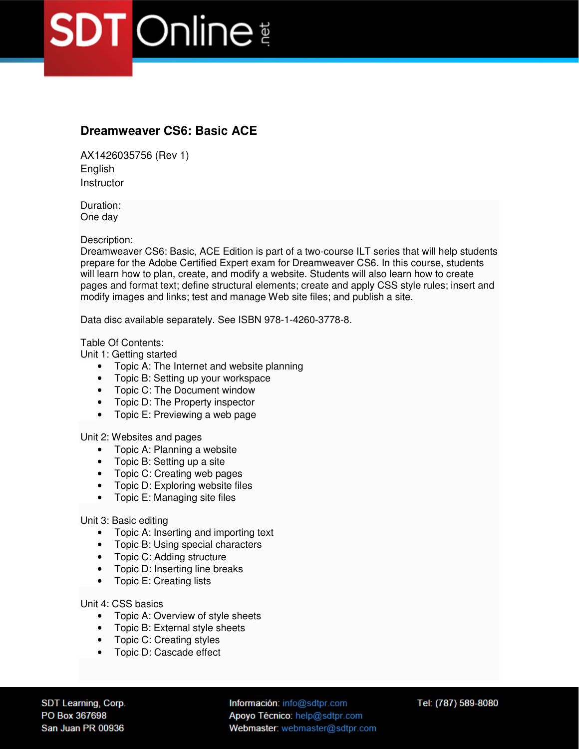## **SDT** Online

## **Dreamweaver CS6: Basic ACE**

AX1426035756 (Rev 1) English **Instructor** 

Duration: One day

Description:

Dreamweaver CS6: Basic, ACE Edition is part of a two-course ILT series that will help students prepare for the Adobe Certified Expert exam for Dreamweaver CS6. In this course, students will learn how to plan, create, and modify a website. Students will also learn how to create pages and format text; define structural elements; create and apply CSS style rules; insert and modify images and links; test and manage Web site files; and publish a site.

Data disc available separately. See ISBN 978-1-4260-3778-8.

## Table Of Contents:

Unit 1: Getting started

- Topic A: The Internet and website planning
- Topic B: Setting up your workspace
- Topic C: The Document window
- Topic D: The Property inspector
- Topic E: Previewing a web page

Unit 2: Websites and pages

- Topic A: Planning a website
- Topic B: Setting up a site
- Topic C: Creating web pages
- Topic D: Exploring website files
- Topic E: Managing site files

Unit 3: Basic editing

- Topic A: Inserting and importing text
- Topic B: Using special characters
- Topic C: Adding structure
- Topic D: Inserting line breaks
- Topic E: Creating lists

Unit 4: CSS basics

- Topic A: Overview of style sheets
- Topic B: External style sheets
- Topic C: Creating styles
- Topic D: Cascade effect

SDT Learning, Corp. PO Box 367698 San Juan PR 00936

Información: info@sdtpr.com Apoyo Técnico: help@sdtpr.com Webmaster: webmaster@sdtpr.com